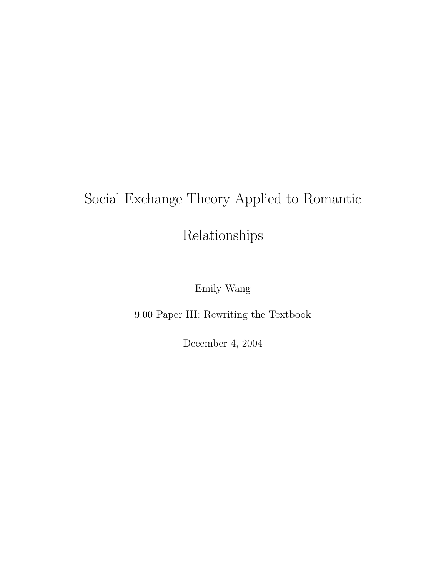# Social Exchange Theory Applied to Romantic

Relationships

Emily Wang

9.00 Paper III: Rewriting the Textbook

December 4, 2004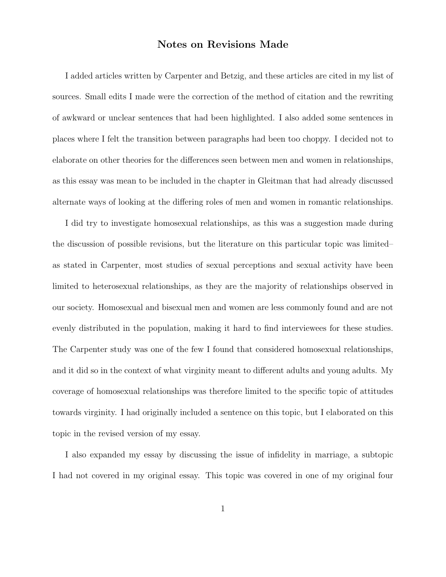#### Notes on Revisions Made

I added articles written by Carpenter and Betzig, and these articles are cited in my list of sources. Small edits I made were the correction of the method of citation and the rewriting of awkward or unclear sentences that had been highlighted. I also added some sentences in places where I felt the transition between paragraphs had been too choppy. I decided not to elaborate on other theories for the differences seen between men and women in relationships, as this essay was mean to be included in the chapter in Gleitman that had already discussed alternate ways of looking at the differing roles of men and women in romantic relationships.

I did try to investigate homosexual relationships, as this was a suggestion made during the discussion of possible revisions, but the literature on this particular topic was limited– as stated in Carpenter, most studies of sexual perceptions and sexual activity have been limited to heterosexual relationships, as they are the majority of relationships observed in our society. Homosexual and bisexual men and women are less commonly found and are not evenly distributed in the population, making it hard to find interviewees for these studies. The Carpenter study was one of the few I found that considered homosexual relationships, and it did so in the context of what virginity meant to different adults and young adults. My coverage of homosexual relationships was therefore limited to the specific topic of attitudes towards virginity. I had originally included a sentence on this topic, but I elaborated on this topic in the revised version of my essay.

I also expanded my essay by discussing the issue of infidelity in marriage, a subtopic I had not covered in my original essay. This topic was covered in one of my original four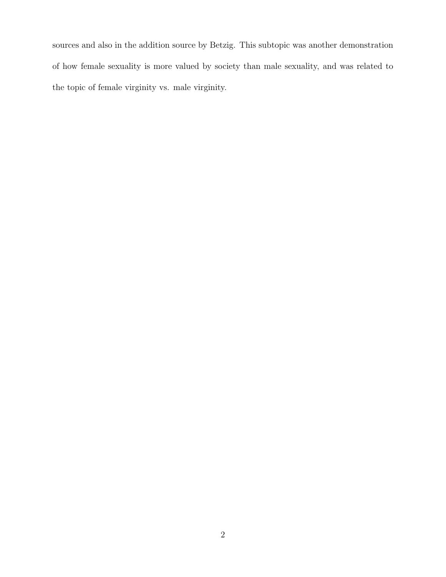sources and also in the addition source by Betzig. This subtopic was another demonstration of how female sexuality is more valued by society than male sexuality, and was related to the topic of female virginity vs. male virginity.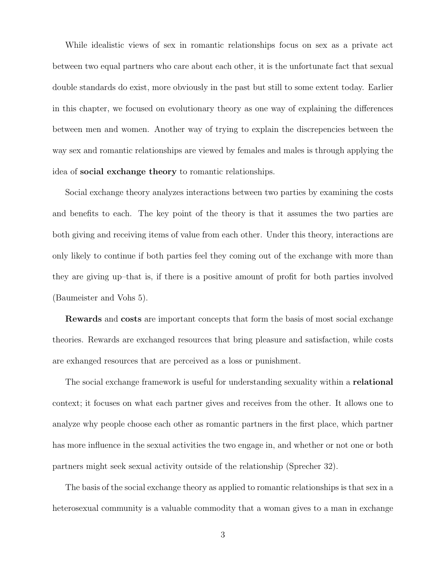While idealistic views of sex in romantic relationships focus on sex as a private act between two equal partners who care about each other, it is the unfortunate fact that sexual double standards do exist, more obviously in the past but still to some extent today. Earlier in this chapter, we focused on evolutionary theory as one way of explaining the differences between men and women. Another way of trying to explain the discrepencies between the way sex and romantic relationships are viewed by females and males is through applying the idea of social exchange theory to romantic relationships.

Social exchange theory analyzes interactions between two parties by examining the costs and benefits to each. The key point of the theory is that it assumes the two parties are both giving and receiving items of value from each other. Under this theory, interactions are only likely to continue if both parties feel they coming out of the exchange with more than they are giving up–that is, if there is a positive amount of profit for both parties involved (Baumeister and Vohs 5).

Rewards and costs are important concepts that form the basis of most social exchange theories. Rewards are exchanged resources that bring pleasure and satisfaction, while costs are exhanged resources that are perceived as a loss or punishment.

The social exchange framework is useful for understanding sexuality within a **relational** context; it focuses on what each partner gives and receives from the other. It allows one to analyze why people choose each other as romantic partners in the first place, which partner has more influence in the sexual activities the two engage in, and whether or not one or both partners might seek sexual activity outside of the relationship (Sprecher 32).

The basis of the social exchange theory as applied to romantic relationships is that sex in a heterosexual community is a valuable commodity that a woman gives to a man in exchange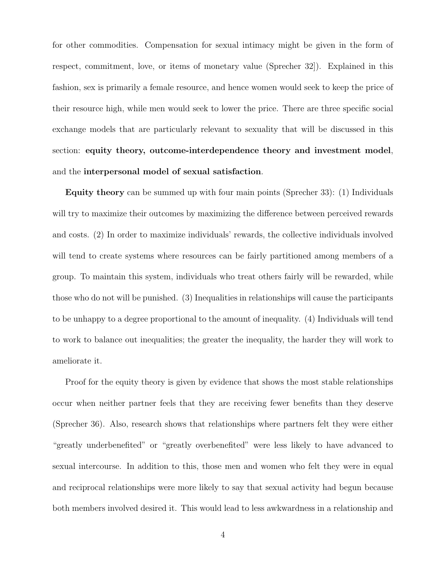for other commodities. Compensation for sexual intimacy might be given in the form of respect, commitment, love, or items of monetary value (Sprecher 32]). Explained in this fashion, sex is primarily a female resource, and hence women would seek to keep the price of their resource high, while men would seek to lower the price. There are three specific social exchange models that are particularly relevant to sexuality that will be discussed in this section: equity theory, outcome-interdependence theory and investment model, and the interpersonal model of sexual satisfaction.

Equity theory can be summed up with four main points (Sprecher 33): (1) Individuals will try to maximize their outcomes by maximizing the difference between perceived rewards and costs. (2) In order to maximize individuals' rewards, the collective individuals involved will tend to create systems where resources can be fairly partitioned among members of a group. To maintain this system, individuals who treat others fairly will be rewarded, while those who do not will be punished. (3) Inequalities in relationships will cause the participants to be unhappy to a degree proportional to the amount of inequality. (4) Individuals will tend to work to balance out inequalities; the greater the inequality, the harder they will work to ameliorate it.

Proof for the equity theory is given by evidence that shows the most stable relationships occur when neither partner feels that they are receiving fewer benefits than they deserve (Sprecher 36). Also, research shows that relationships where partners felt they were either "greatly underbenefited" or "greatly overbenefited" were less likely to have advanced to sexual intercourse. In addition to this, those men and women who felt they were in equal and reciprocal relationships were more likely to say that sexual activity had begun because both members involved desired it. This would lead to less awkwardness in a relationship and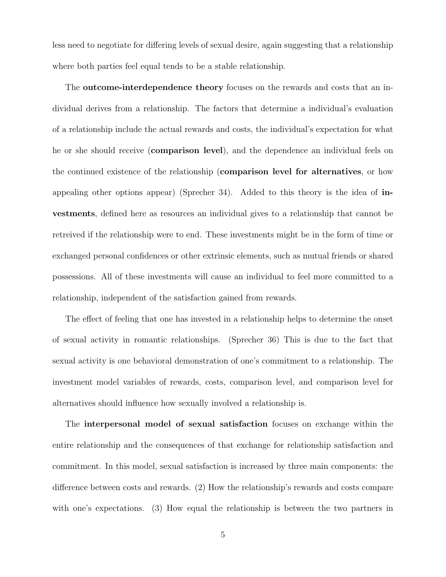less need to negotiate for differing levels of sexual desire, again suggesting that a relationship where both parties feel equal tends to be a stable relationship.

The **outcome-interdependence theory** focuses on the rewards and costs that an individual derives from a relationship. The factors that determine a individual's evaluation of a relationship include the actual rewards and costs, the individual's expectation for what he or she should receive (comparison level), and the dependence an individual feels on the continued existence of the relationship (comparison level for alternatives, or how appealing other options appear) (Sprecher 34). Added to this theory is the idea of investments, defined here as resources an individual gives to a relationship that cannot be retreived if the relationship were to end. These investments might be in the form of time or exchanged personal confidences or other extrinsic elements, such as mutual friends or shared possessions. All of these investments will cause an individual to feel more committed to a relationship, independent of the satisfaction gained from rewards.

The effect of feeling that one has invested in a relationship helps to determine the onset of sexual activity in romantic relationships. (Sprecher 36) This is due to the fact that sexual activity is one behavioral demonstration of one's commitment to a relationship. The investment model variables of rewards, costs, comparison level, and comparison level for alternatives should influence how sexually involved a relationship is.

The interpersonal model of sexual satisfaction focuses on exchange within the entire relationship and the consequences of that exchange for relationship satisfaction and commitment. In this model, sexual satisfaction is increased by three main components: the difference between costs and rewards. (2) How the relationship's rewards and costs compare with one's expectations. (3) How equal the relationship is between the two partners in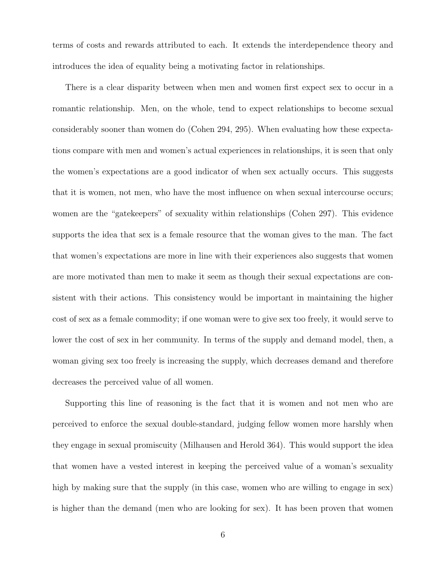terms of costs and rewards attributed to each. It extends the interdependence theory and introduces the idea of equality being a motivating factor in relationships.

There is a clear disparity between when men and women first expect sex to occur in a romantic relationship. Men, on the whole, tend to expect relationships to become sexual considerably sooner than women do (Cohen 294, 295). When evaluating how these expectations compare with men and women's actual experiences in relationships, it is seen that only the women's expectations are a good indicator of when sex actually occurs. This suggests that it is women, not men, who have the most influence on when sexual intercourse occurs; women are the "gatekeepers" of sexuality within relationships (Cohen 297). This evidence supports the idea that sex is a female resource that the woman gives to the man. The fact that women's expectations are more in line with their experiences also suggests that women are more motivated than men to make it seem as though their sexual expectations are consistent with their actions. This consistency would be important in maintaining the higher cost of sex as a female commodity; if one woman were to give sex too freely, it would serve to lower the cost of sex in her community. In terms of the supply and demand model, then, a woman giving sex too freely is increasing the supply, which decreases demand and therefore decreases the perceived value of all women.

Supporting this line of reasoning is the fact that it is women and not men who are perceived to enforce the sexual double-standard, judging fellow women more harshly when they engage in sexual promiscuity (Milhausen and Herold 364). This would support the idea that women have a vested interest in keeping the perceived value of a woman's sexuality high by making sure that the supply (in this case, women who are willing to engage in sex) is higher than the demand (men who are looking for sex). It has been proven that women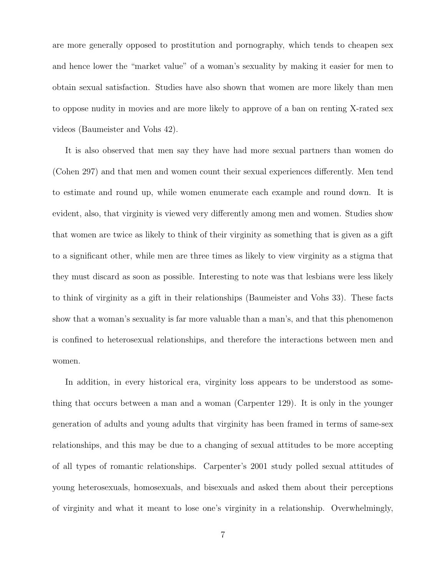are more generally opposed to prostitution and pornography, which tends to cheapen sex and hence lower the "market value" of a woman's sexuality by making it easier for men to obtain sexual satisfaction. Studies have also shown that women are more likely than men to oppose nudity in movies and are more likely to approve of a ban on renting X-rated sex videos (Baumeister and Vohs 42).

It is also observed that men say they have had more sexual partners than women do (Cohen 297) and that men and women count their sexual experiences differently. Men tend to estimate and round up, while women enumerate each example and round down. It is evident, also, that virginity is viewed very differently among men and women. Studies show that women are twice as likely to think of their virginity as something that is given as a gift to a significant other, while men are three times as likely to view virginity as a stigma that they must discard as soon as possible. Interesting to note was that lesbians were less likely to think of virginity as a gift in their relationships (Baumeister and Vohs 33). These facts show that a woman's sexuality is far more valuable than a man's, and that this phenomenon is confined to heterosexual relationships, and therefore the interactions between men and women.

In addition, in every historical era, virginity loss appears to be understood as something that occurs between a man and a woman (Carpenter 129). It is only in the younger generation of adults and young adults that virginity has been framed in terms of same-sex relationships, and this may be due to a changing of sexual attitudes to be more accepting of all types of romantic relationships. Carpenter's 2001 study polled sexual attitudes of young heterosexuals, homosexuals, and bisexuals and asked them about their perceptions of virginity and what it meant to lose one's virginity in a relationship. Overwhelmingly,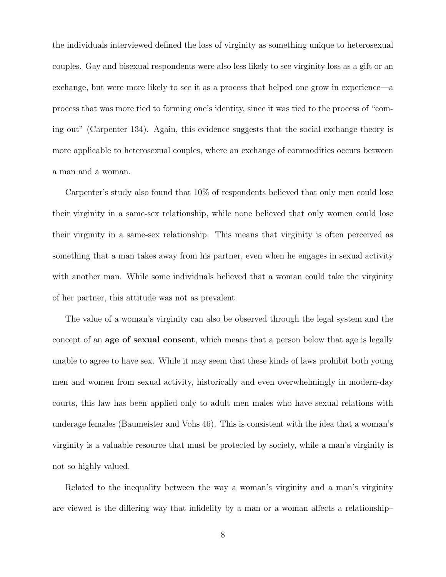the individuals interviewed defined the loss of virginity as something unique to heterosexual couples. Gay and bisexual respondents were also less likely to see virginity loss as a gift or an exchange, but were more likely to see it as a process that helped one grow in experience—a process that was more tied to forming one's identity, since it was tied to the process of "coming out" (Carpenter 134). Again, this evidence suggests that the social exchange theory is more applicable to heterosexual couples, where an exchange of commodities occurs between a man and a woman.

Carpenter's study also found that 10% of respondents believed that only men could lose their virginity in a same-sex relationship, while none believed that only women could lose their virginity in a same-sex relationship. This means that virginity is often perceived as something that a man takes away from his partner, even when he engages in sexual activity with another man. While some individuals believed that a woman could take the virginity of her partner, this attitude was not as prevalent.

The value of a woman's virginity can also be observed through the legal system and the concept of an age of sexual consent, which means that a person below that age is legally unable to agree to have sex. While it may seem that these kinds of laws prohibit both young men and women from sexual activity, historically and even overwhelmingly in modern-day courts, this law has been applied only to adult men males who have sexual relations with underage females (Baumeister and Vohs 46). This is consistent with the idea that a woman's virginity is a valuable resource that must be protected by society, while a man's virginity is not so highly valued.

Related to the inequality between the way a woman's virginity and a man's virginity are viewed is the differing way that infidelity by a man or a woman affects a relationship–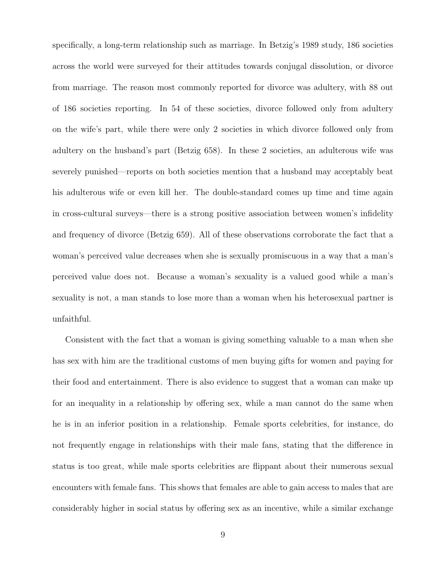specifically, a long-term relationship such as marriage. In Betzig's 1989 study, 186 societies across the world were surveyed for their attitudes towards conjugal dissolution, or divorce from marriage. The reason most commonly reported for divorce was adultery, with 88 out of 186 societies reporting. In 54 of these societies, divorce followed only from adultery on the wife's part, while there were only 2 societies in which divorce followed only from adultery on the husband's part (Betzig 658). In these 2 societies, an adulterous wife was severely punished—reports on both societies mention that a husband may acceptably beat his adulterous wife or even kill her. The double-standard comes up time and time again in cross-cultural surveys—there is a strong positive association between women's infidelity and frequency of divorce (Betzig 659). All of these observations corroborate the fact that a woman's perceived value decreases when she is sexually promiscuous in a way that a man's perceived value does not. Because a woman's sexuality is a valued good while a man's sexuality is not, a man stands to lose more than a woman when his heterosexual partner is unfaithful.

Consistent with the fact that a woman is giving something valuable to a man when she has sex with him are the traditional customs of men buying gifts for women and paying for their food and entertainment. There is also evidence to suggest that a woman can make up for an inequality in a relationship by offering sex, while a man cannot do the same when he is in an inferior position in a relationship. Female sports celebrities, for instance, do not frequently engage in relationships with their male fans, stating that the difference in status is too great, while male sports celebrities are flippant about their numerous sexual encounters with female fans. This shows that females are able to gain access to males that are considerably higher in social status by offering sex as an incentive, while a similar exchange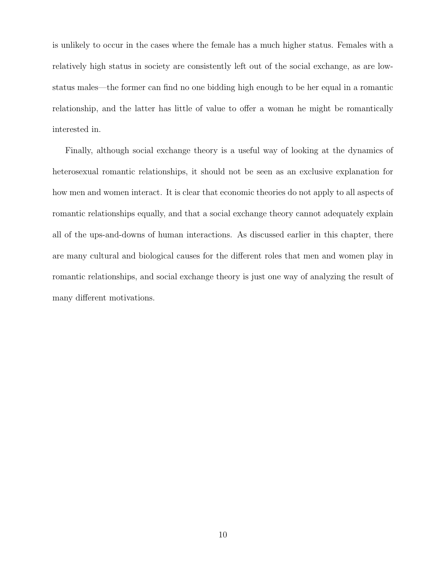is unlikely to occur in the cases where the female has a much higher status. Females with a relatively high status in society are consistently left out of the social exchange, as are lowstatus males—the former can find no one bidding high enough to be her equal in a romantic relationship, and the latter has little of value to offer a woman he might be romantically interested in.

Finally, although social exchange theory is a useful way of looking at the dynamics of heterosexual romantic relationships, it should not be seen as an exclusive explanation for how men and women interact. It is clear that economic theories do not apply to all aspects of romantic relationships equally, and that a social exchange theory cannot adequately explain all of the ups-and-downs of human interactions. As discussed earlier in this chapter, there are many cultural and biological causes for the different roles that men and women play in romantic relationships, and social exchange theory is just one way of analyzing the result of many different motivations.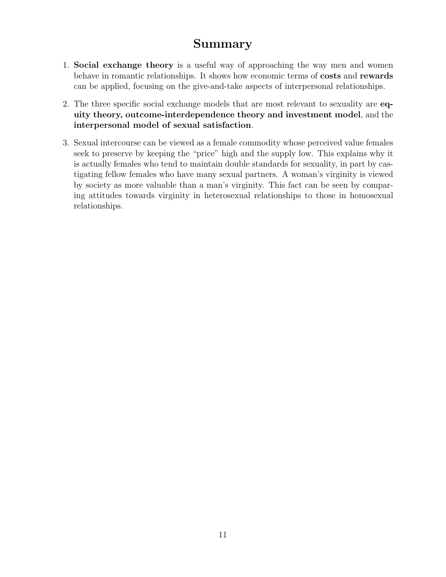## Summary

- 1. Social exchange theory is a useful way of approaching the way men and women behave in romantic relationships. It shows how economic terms of costs and rewards can be applied, focusing on the give-and-take aspects of interpersonal relationships.
- 2. The three specific social exchange models that are most relevant to sexuality are equity theory, outcome-interdependence theory and investment model, and the interpersonal model of sexual satisfaction.
- 3. Sexual intercourse can be viewed as a female commodity whose perceived value females seek to preserve by keeping the "price" high and the supply low. This explains why it is actually females who tend to maintain double standards for sexuality, in part by castigating fellow females who have many sexual partners. A woman's virginity is viewed by society as more valuable than a man's virginity. This fact can be seen by comparing attitudes towards virginity in heterosexual relationships to those in homosexual relationships.